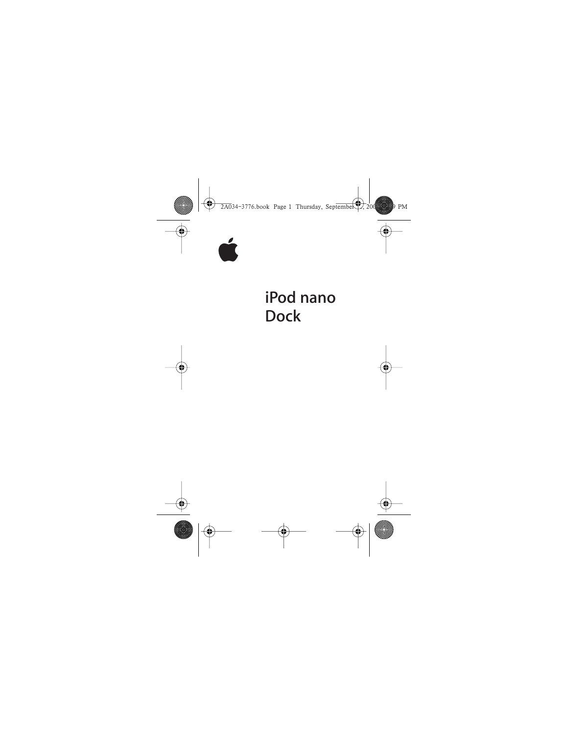

# iPod nano **Dock**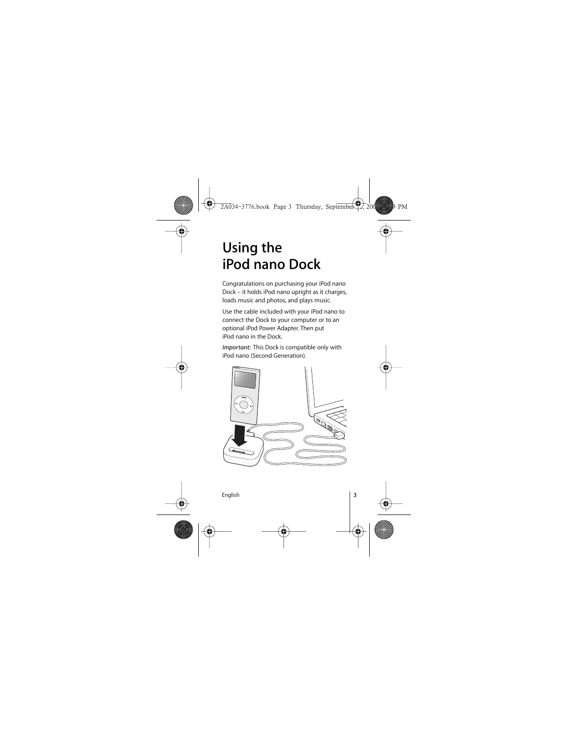# **Using the iPod nano Dock**

Congratulations on purchasing your iPod nano Dock – it holds iPod nano upright as it charges, loads music and photos, and plays music.

Use the cable included with your iPod nano to connect the Dock to your computer or to an optional iPod Power Adapter. Then put iPod nano in the Dock.

*Important:* This Dock is compatible only with iPod nano (Second Generation).

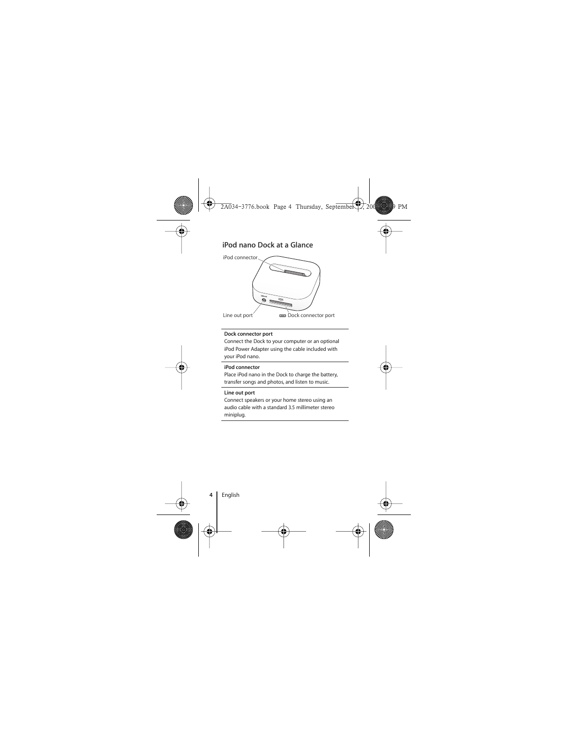## **iPod nano Dock at a Glance**



#### **Dock connector port**

Connect the Dock to your computer or an optional iPod Power Adapter using the cable included with your iPod nano.

#### **iPod connector**

Place iPod nano in the Dock to charge the battery, transfer songs and photos, and listen to music.

#### **Line out port**

Connect speakers or your home stereo using an audio cable with a standard 3.5 millimeter stereo miniplug.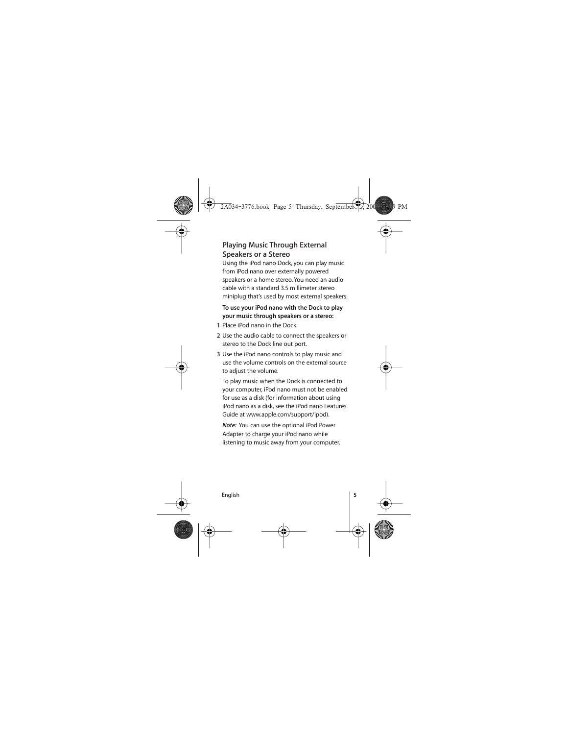## **Playing Music Through External Speakers or a Stereo**

Using the iPod nano Dock, you can play music from iPod nano over externally powered speakers or a home stereo. You need an audio cable with a standard 3.5 millimeter stereo miniplug that's used by most external speakers.

#### **To use your iPod nano with the Dock to play your music through speakers or a stereo:**

- **1** Place iPod nano in the Dock.
- **2** Use the audio cable to connect the speakers or stereo to the Dock line out port.
- **3** Use the iPod nano controls to play music and use the volume controls on the external source to adjust the volume.

To play music when the Dock is connected to your computer, iPod nano must not be enabled for use as a disk (for information about using iPod nano as a disk, see the iPod nano Features Guide at www.apple.com/support/ipod).

*Note:* You can use the optional iPod Power Adapter to charge your iPod nano while listening to music away from your computer.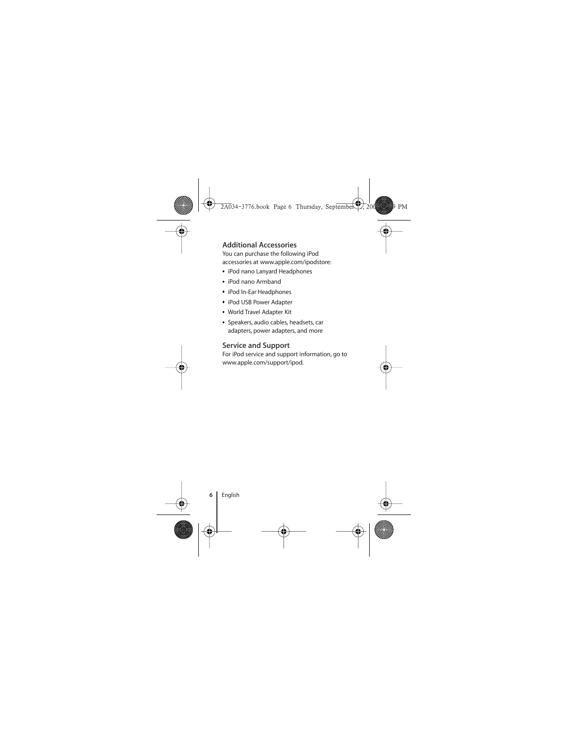## **Additional Accessories**

You can purchase the following iPod accessories at www.apple.com/ipodstore:

- iPod nano Lanyard Headphones
- iPod nano Armband
- iPod In-Ear Headphones
- iPod USB Power Adapter
- World Travel Adapter Kit
- Speakers, audio cables, headsets, car adapters, power adapters, and more

## **Service and Support**

For iPod service and support information, go to www.apple.com/support/ipod.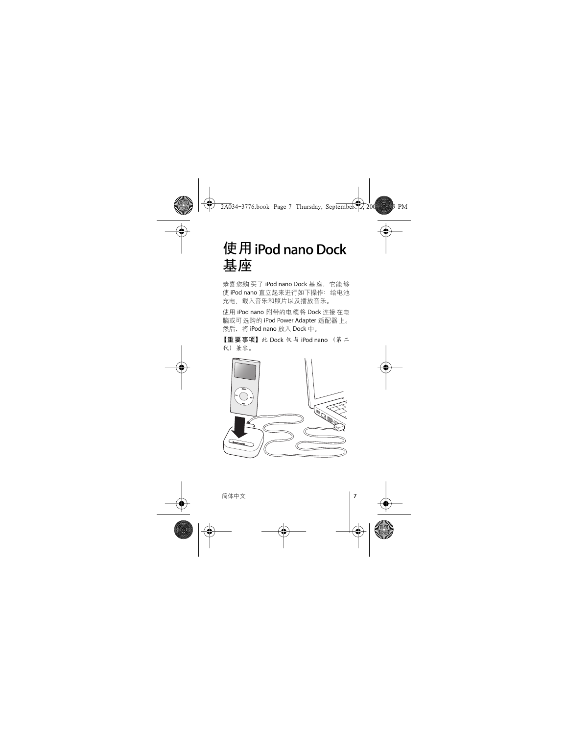# **- iPod nano Dock**  基座

恭喜您购买了 iPod nano Dock 基座,它能够 使 iPod nano 直立起来进行如下操作: 给电池 充电、载入音乐和照片以及播放音乐。

使用 iPod nano 附带的电缆将 Dock 连接在电 脑或可选购的 iPod Power Adapter 适配器上。 然后, 将 iPod nano 放入 Dock 中。

【重要事项】此 Dock 仅与 iPod nano (第二 代) 兼容。

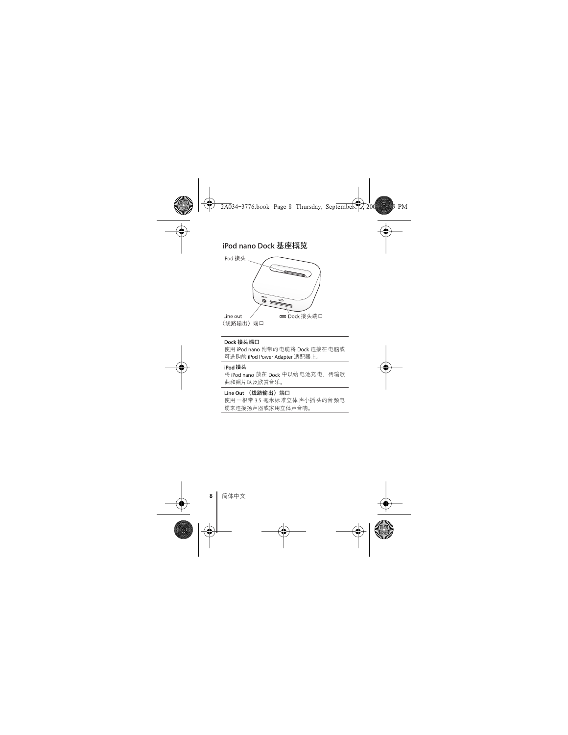## **iPod nano Dock**



#### Dock 接头端口

使用 iPod nano 附带的 电缆将 Dock 连接在 电脑或 可选购的 iPod Power Adapter 适配器上。

#### iPod 接头

将 iPod nano 放在 Dock 中以给电池充电、传输歌 曲和照片以及欣赏音乐。

#### Line Out (线路输出) 端口

使用 一根带 3.5 毫米标 准立体 声小插 头的音 频电 缆来连接扬声器或家用立体声音响。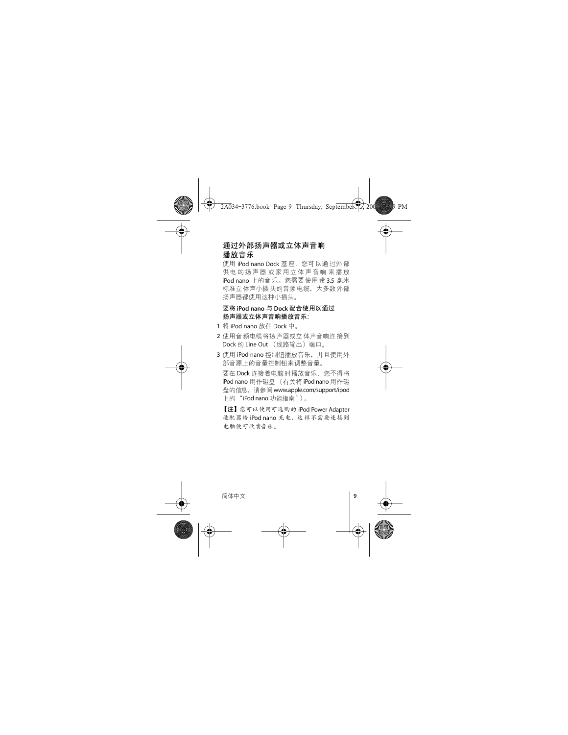## 通过外部扬声器或立**体**声音响 **播放音乐**

使用 iPod nano Dock 基座, 您可以通过外部 供电的扬声器 或家用立体声音响 来播放  $i$ Pod nano 上的音乐。您需要使用带 3.5 毫米 标准立 体声小插 头的音频 电缆,大多数 外部 扬声器都使用这种小插头。

#### **& iPod nano ' Dock ()-\*** 扬声器或立体声音响播放音乐:

- 1 将 iPod nano 放在 Dock 中。
- 2 使用音 频电缆将扬 声器或立 体声音响连 接到 Dock 的 Line Out (线路输出)端口。
- 3 使用 iPod nano 控制钮播放音乐, 并且使用外 部音源上的音量控制钮来调整音量。 要在 Dock 连接着电脑时播放音乐, 您不得将 iPod nano 用作磁盘 (有关将 iPod nano 用作磁 盘的信息, 请参阅 www.apple.com/support/ipod 上的"iPod nano 功能指南")。

【注】 您可以使用可选购的 iPod Power Adapter 话配器给 iPod nano 充电、这样不需要连接到 电脑便可欣赏音乐。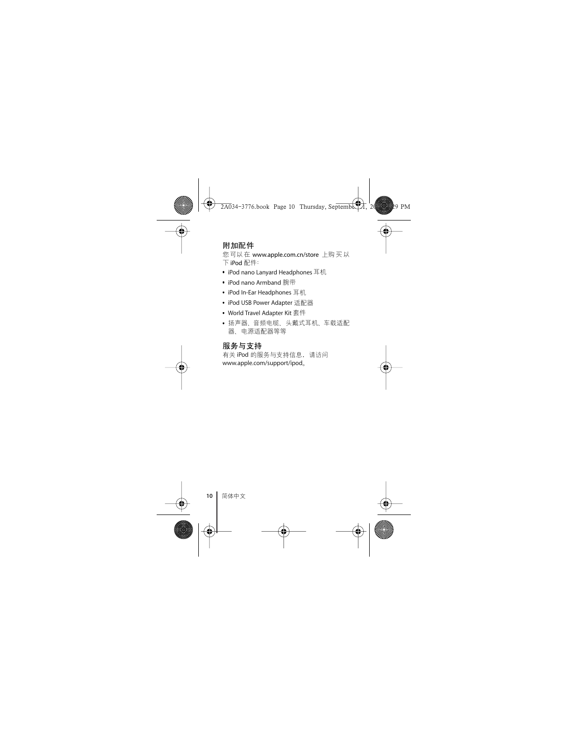## 附加配件

您可以在 www.apple.com.cn/store 上购买以 下 iPod 配件:

- iPod nano Lanyard Headphones 耳机
- iPod nano Armband 腕带
- iPod In-Ear Headphones 耳机
- iPod USB Power Adapter 适配器
- World Travel Adapter Kit 套件
- 扬声器、音频电缆、头戴式耳机、车载适配 器、电源适配器等等

# 服务与支持

有关 iPod 的服务与支持信息, 请访问 www.apple.com/support/ipod。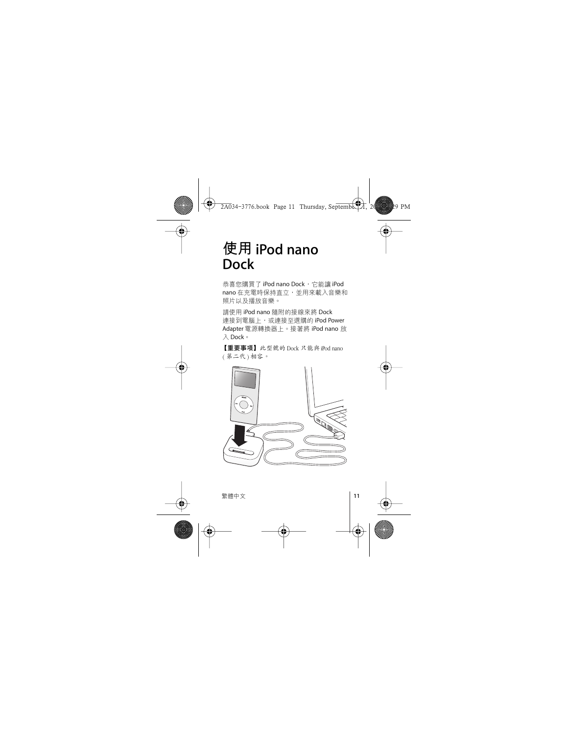# **- iPod nano Dock**

恭喜您購買了 iPod nano Dock,它能讓 iPod nano 在充電時保持直立,並用來載入音樂和 照片以及播放音樂。

請使用 iPod nano 隨附的接線來將 Dock 連接到電腦上,或連接至選購的 iPod Power Adapter 電源轉換器 H 。 接著將 iPod nano 放  $\lambda$  Dock。

【重要事項】此型號的 Dock 只能與iPod nano  $($  第二代  $)$  相容。

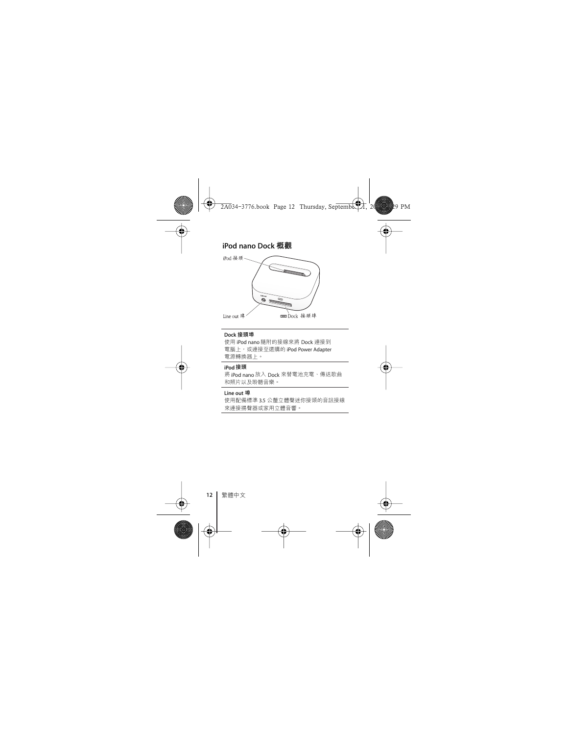## iPod nano Dock 概觀



#### **Dock**

使用 iPod nano 隨附的接線來將 Dock 連接到 電腦上,或連接至選購的 iPod Power Adapter 電源轉換器上。

#### iPod 接頭

將 iPod nano 放入 Dock 來替電池充電、傳送歌曲 和照片以及聆聽音樂。

#### **Line out**

使用配備標準 3.5 公釐立體聲迷你接頭的音訊接線 來連接揚聲器或家用立體音響。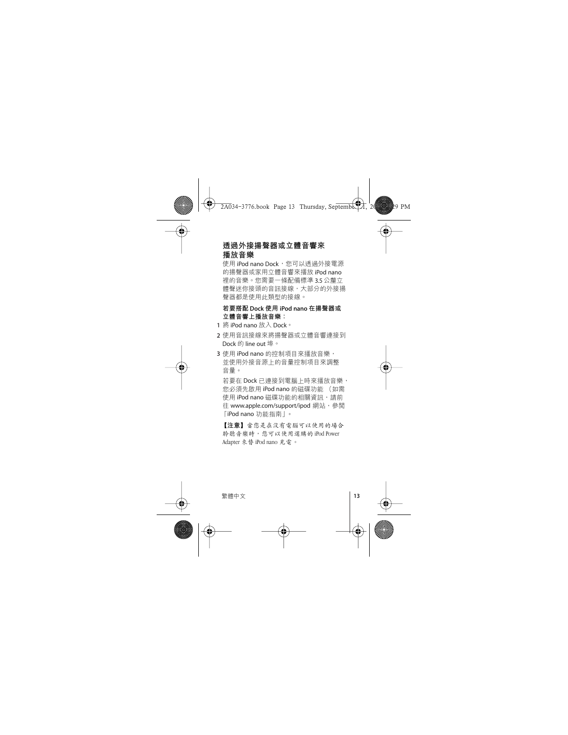## **诱**猧外接揚磬器或立體音響來 播放音樂

使用 iPod nano Dock, 您可以诱過外接電源 的揚聲器或家用立體音響來播放 iPod nano 裡的音樂。您需要一條配備標準 3.5 公釐立 體聲迷你接頭的音訊接線,大部分的外接揚 聲器都是使用此類型的接線。

### 若要搭配 Dock 使用 iPod nano 在揚聲器或 立體音響上播放音樂:

- **1** 將 iPod nano 放入 Dock。
- 2 使用音訊接線來將揚聲器或立體音響連接到 Dock 的 line out 埠。
- 3 使用 iPod nano 的控制項目來播放音樂, 並使用外接音源上的音量控制項日來調整 音量。

若要在 Dock 已連接到電腦上時來播放音樂, 您必須先啟用 iPod nano 的磁碟功能 (如需 使用 iPod nano 磁碟功能的相關資訊, 請前 往 www.apple.com/support/ipod 網站, 參閱 [iPod nano 功能指南|。

【注意】當您是在沒有電腦可以使用的場合 黔聽音樂時, 您可以使用選購的 iPod Power Adapter 來替 iPod nano 充電。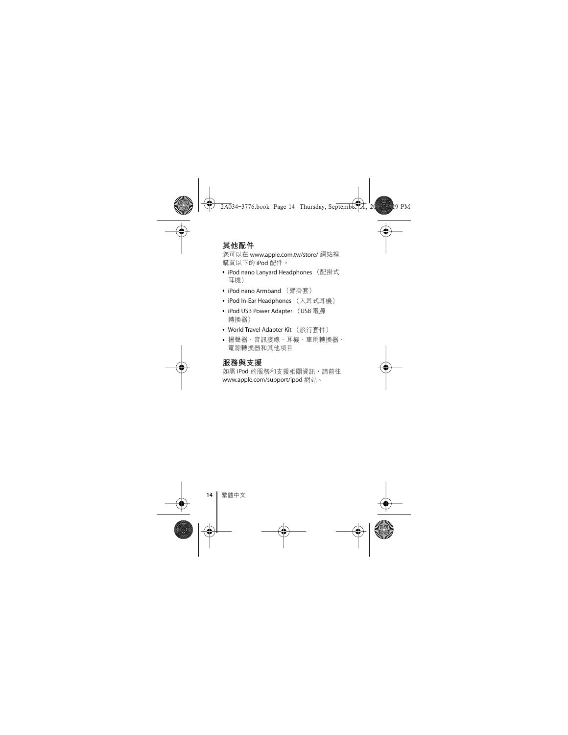## 其他配件

您可以在 www.apple.com.tw/store/ 網站裡 購買以下的 iPod 配件。

- iPod nano Lanyard Headphones (配掛式 耳機)
- iPod nano Armband (臂掛套)
- iPod In-Ear Headphones (入耳式耳機)
- iPod USB Power Adapter (USB 電源 轉換器)
- World Travel Adapter Kit (旅行套件)
- 揚聲器、音訊接線、耳機、車用轉換器、 電源轉換器和其他項目

### 服務與支援

如需 iPod 的服務和支援相關資訊,請前往 www.apple.com/support/ipod 網站。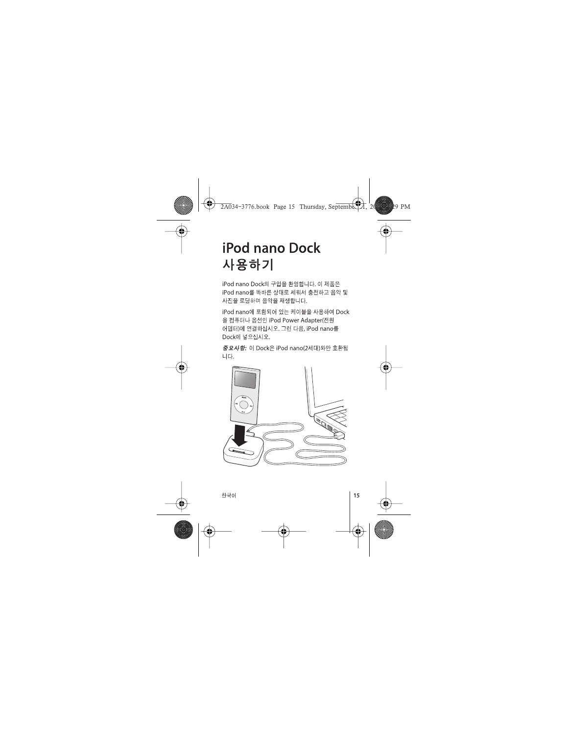# **iPod nano Dock** 사용하기

iPod nano Dock의 구입을 환영합니다. 이 제품은 iPod nano를 똑바른 상태로 세워서 충전하고 음악 및 사진을 로딩하며 음악을 재생합니다.

iPod nano에 포함되어 있는 케이블을 사용하여 Dock 을 컴퓨터나 옵션인 iPod Power Adapter(전원 어댑터)에 연결하십시오. 그런 다음, iPod nano를 Dock에 넣으십시오.

중요사항: 이 Dock은 iPod nano(2세대)와만 호환됨 나다.

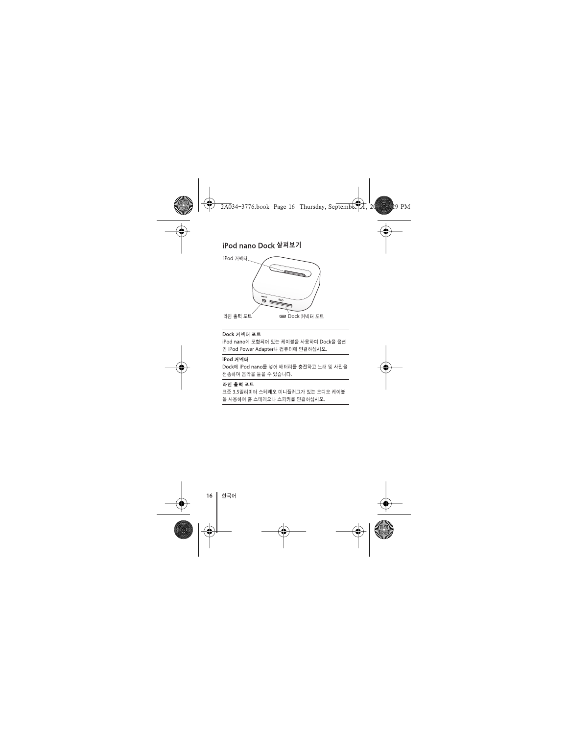### iPod nano Dock 살펴보기



#### Dock 커넥터 포트

iPod nano에 포함되어 있는 케이블을 사용하여 Dock을 옵션 인 iPod Power Adapter나 컴퓨터에 연결하십시오.

#### iPod 커넥터

Dock에 iPod nano를 넣어 배터리를 충전하고 노래 및 사진을 전송하며 음악을 들을 수 있습니다.

#### 라인 출력 포트

표준 3.5밀리미터 스테레오 미니플러그가 있는 오디오 케이블 을 사용하여 홈 스테레오나 스피커를 연결하십시오.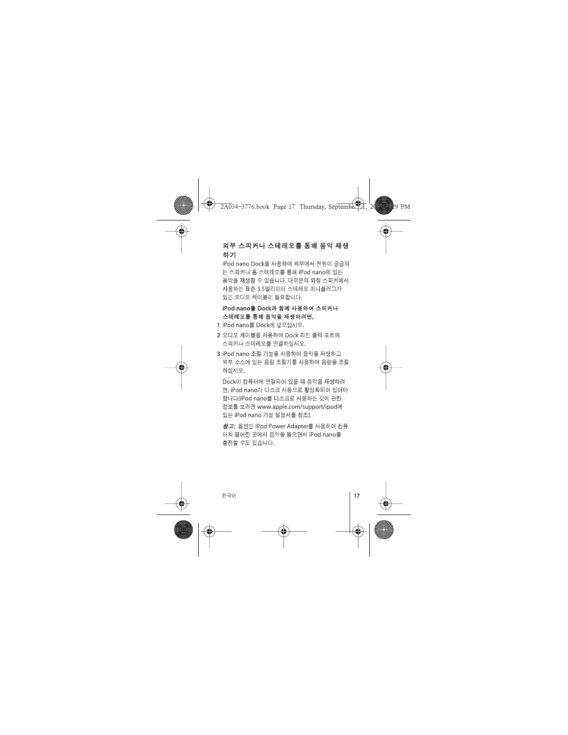## 외부 스피커나 스테레오를 통해 음악 재생 하기

iPod nano Dock을 사용하여 외부에서 전원이 공급되 는 스피커나 홈 스테레오를 통해 iPod nano에 있는 음악을 재생할 수 있습니다. 대부분의 외장 스피커에서 사용하는 표준 3.5밀리미터 스테레오 미니플러그가 있는 오디오 케이블이 필요합니다.

iPod nano를 Dock과 함께 사용하여 스피커나 스테레오를 통해 음악을 재생하려면,

- 1 iPod nano를 Dock에 넣으십시오.
- 2 오디오 케이블을 사용하여 Dock 라인 출력 포트에 스피커나 스테레오를 연결하십시오.
- 3 iPod nano 조절 기능을 사용하여 음악을 재생하고 외부 소스에 있는 음량 조절기를 사용하여 음량을 조절 하십시오.

Dock이 컴퓨터에 연결되어 있을 때 음악을 재생하려 면, iPod nano가 디스크 사용으로 확성화되어 있어야 합니다(iPod nano를 디스크로 사용하는 것에 관한 정보를 보려면 www.apple.com/support/ipod에 있는 iPod nano 기능 설명서를 참조).

참고: 옵션인 iPod Power Adapter를 사용하여 컴퓨 터와 떨어진 곳에서 음악을 들으면서 iPod nano를 충전할 수도 있습니다.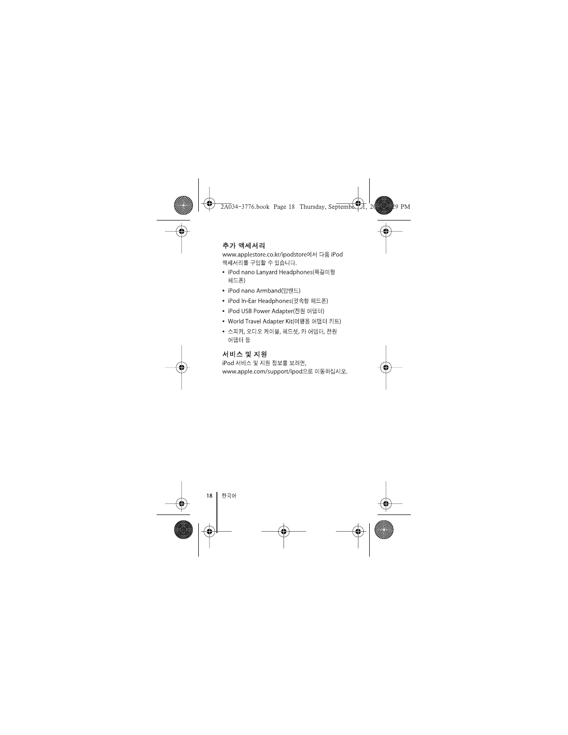## 추가 액세서리

www.applestore.co.kr/ipodstore에서 다음 iPod 액세서리를 구입할 수 있습니다.

- iPod nano Lanvard Headphones(목걸이형 헤드폰)
- iPod nano Armband(알밴드)
- iPod In-Ear Headphones(귓속형 헤드폰)
- iPod USB Power Adapter(전원 어댑터)
- World Travel Adapter Kit(여행용 어댑터 키트)
- 스피커, 오디오 케이블, 헤드셋, 카 어댑터, 전원 어댑터 등

### 서비스 및 지워

iPod 서비스 및 지원 정보를 보려면, www.apple.com/support/ipod으로 이동하십시오.